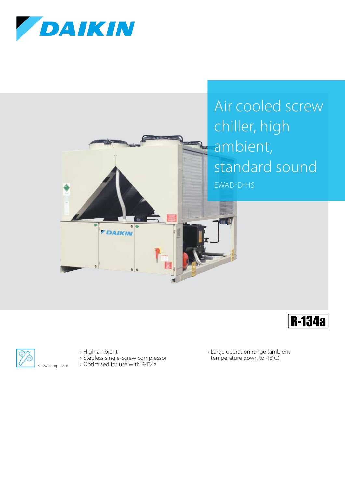







› High ambient

- › Stepless single-screw compressor
- › Optimised for use with R-134a

› Large operation range (ambient temperature down to -18°C)